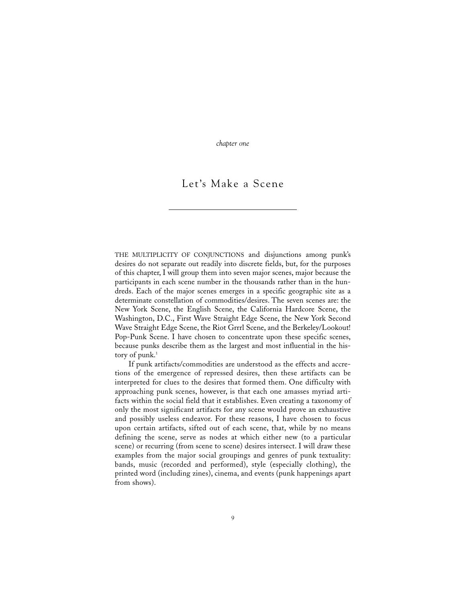*chapter one*

## Let's Make a Scene

THE MULTIPLICITY OF CONJUNCTIONS and disjunctions among punk's desires do not separate out readily into discrete fields, but, for the purposes of this chapter, I will group them into seven major scenes, major because the participants in each scene number in the thousands rather than in the hundreds. Each of the major scenes emerges in a specific geographic site as a determinate constellation of commodities/desires. The seven scenes are: the New York Scene, the English Scene, the California Hardcore Scene, the Washington, D.C., First Wave Straight Edge Scene, the New York Second Wave Straight Edge Scene, the Riot Grrrl Scene, and the Berkeley/Lookout! Pop-Punk Scene. I have chosen to concentrate upon these specific scenes, because punks describe them as the largest and most influential in the history of punk.<sup>1</sup>

If punk artifacts/commodities are understood as the effects and accretions of the emergence of repressed desires, then these artifacts can be interpreted for clues to the desires that formed them. One difficulty with approaching punk scenes, however, is that each one amasses myriad artifacts within the social field that it establishes. Even creating a taxonomy of only the most significant artifacts for any scene would prove an exhaustive and possibly useless endeavor. For these reasons, I have chosen to focus upon certain artifacts, sifted out of each scene, that, while by no means defining the scene, serve as nodes at which either new (to a particular scene) or recurring (from scene to scene) desires intersect. I will draw these examples from the major social groupings and genres of punk textuality: bands, music (recorded and performed), style (especially clothing), the printed word (including zines), cinema, and events (punk happenings apart from shows).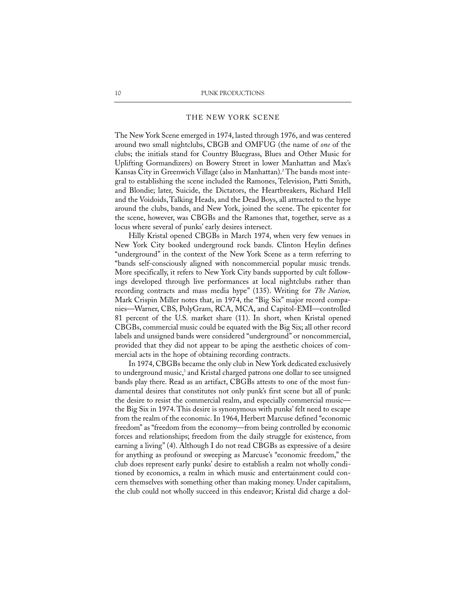## THE NEW YORK SCENE

The New York Scene emerged in 1974, lasted through 1976, and was centered around two small nightclubs, CBGB and OMFUG (the name of *one* of the clubs; the initials stand for Country Bluegrass, Blues and Other Music for Uplifting Gormandizers) on Bowery Street in lower Manhattan and Max's Kansas City in Greenwich Village (also in Manhattan).<sup>2</sup> The bands most integral to establishing the scene included the Ramones, Television, Patti Smith, and Blondie; later, Suicide, the Dictators, the Heartbreakers, Richard Hell and the Voidoids, Talking Heads, and the Dead Boys, all attracted to the hype around the clubs, bands, and New York, joined the scene. The epicenter for the scene, however, was CBGBs and the Ramones that, together, serve as a locus where several of punks' early desires intersect.

Hilly Kristal opened CBGBs in March 1974, when very few venues in New York City booked underground rock bands. Clinton Heylin defines "underground" in the context of the New York Scene as a term referring to "bands self-consciously aligned with noncommercial popular music trends. More specifically, it refers to New York City bands supported by cult followings developed through live performances at local nightclubs rather than recording contracts and mass media hype" (135). Writing for *The Nation,* Mark Crispin Miller notes that, in 1974, the "Big Six" major record companies—Warner, CBS, PolyGram, RCA, MCA, and Capitol-EMI—controlled 81 percent of the U.S. market share (11). In short, when Kristal opened CBGBs, commercial music could be equated with the Big Six; all other record labels and unsigned bands were considered "underground" or noncommercial, provided that they did not appear to be aping the aesthetic choices of commercial acts in the hope of obtaining recording contracts.

In 1974, CBGBs became the only club in New York dedicated exclusively to underground music,<sup>3</sup> and Kristal charged patrons one dollar to see unsigned bands play there. Read as an artifact, CBGBs attests to one of the most fundamental desires that constitutes not only punk's first scene but all of punk: the desire to resist the commercial realm, and especially commercial music the Big Six in 1974. This desire is synonymous with punks' felt need to escape from the realm of the economic. In 1964, Herbert Marcuse defined "economic freedom" as "freedom from the economy—from being controlled by economic forces and relationships; freedom from the daily struggle for existence, from earning a living" (4). Although I do not read CBGBs as expressive of a desire for anything as profound or sweeping as Marcuse's "economic freedom," the club does represent early punks' desire to establish a realm not wholly conditioned by economics, a realm in which music and entertainment could concern themselves with something other than making money. Under capitalism, the club could not wholly succeed in this endeavor; Kristal did charge a dol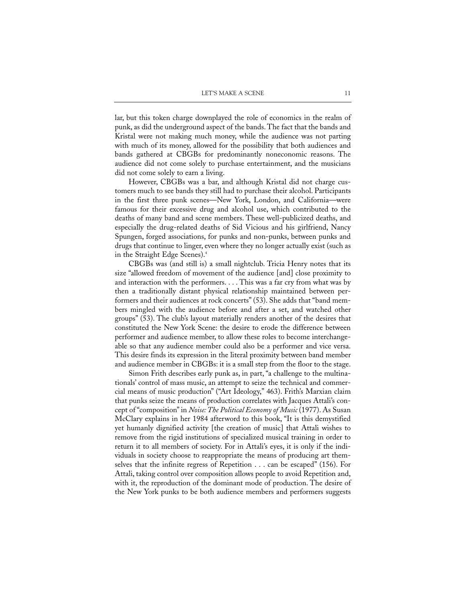lar, but this token charge downplayed the role of economics in the realm of punk, as did the underground aspect of the bands. The fact that the bands and Kristal were not making much money, while the audience was not parting with much of its money, allowed for the possibility that both audiences and bands gathered at CBGBs for predominantly noneconomic reasons. The audience did not come solely to purchase entertainment, and the musicians did not come solely to earn a living.

However, CBGBs was a bar, and although Kristal did not charge customers much to see bands they still had to purchase their alcohol. Participants in the first three punk scenes—New York, London, and California—were famous for their excessive drug and alcohol use, which contributed to the deaths of many band and scene members. These well-publicized deaths, and especially the drug-related deaths of Sid Vicious and his girlfriend, Nancy Spungen, forged associations, for punks and non-punks, between punks and drugs that continue to linger, even where they no longer actually exist (such as in the Straight Edge Scenes).4

CBGBs was (and still is) a small nightclub. Tricia Henry notes that its size "allowed freedom of movement of the audience [and] close proximity to and interaction with the performers.... This was a far cry from what was by then a traditionally distant physical relationship maintained between performers and their audiences at rock concerts" (53). She adds that "band members mingled with the audience before and after a set, and watched other groups" (53). The club's layout materially renders another of the desires that constituted the New York Scene: the desire to erode the difference between performer and audience member, to allow these roles to become interchangeable so that any audience member could also be a performer and vice versa. This desire finds its expression in the literal proximity between band member and audience member in CBGBs: it is a small step from the floor to the stage.

Simon Frith describes early punk as, in part, "a challenge to the multinationals' control of mass music, an attempt to seize the technical and commercial means of music production" ("Art Ideology," 463). Frith's Marxian claim that punks seize the means of production correlates with Jacques Attali's concept of "composition" in *Noise: The Political Economy of Music* (1977). As Susan McClary explains in her 1984 afterword to this book, "It is this demystified yet humanly dignified activity [the creation of music] that Attali wishes to remove from the rigid institutions of specialized musical training in order to return it to all members of society. For in Attali's eyes, it is only if the individuals in society choose to reappropriate the means of producing art themselves that the infinite regress of Repetition . . . can be escaped" (156). For Attali, taking control over composition allows people to avoid Repetition and, with it, the reproduction of the dominant mode of production. The desire of the New York punks to be both audience members and performers suggests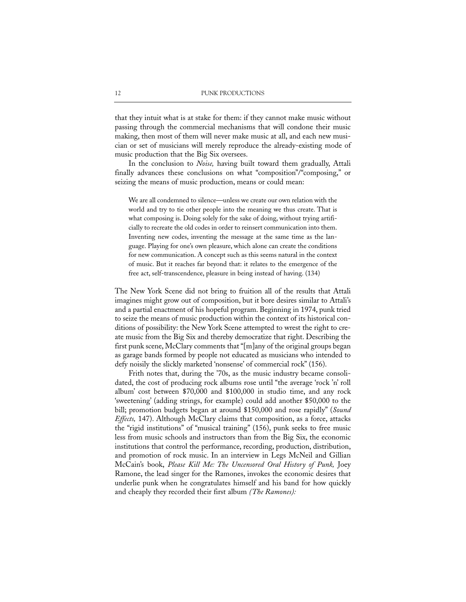that they intuit what is at stake for them: if they cannot make music without passing through the commercial mechanisms that will condone their music making, then most of them will never make music at all, and each new musician or set of musicians will merely reproduce the already-existing mode of music production that the Big Six oversees.

In the conclusion to *Noise,* having built toward them gradually, Attali finally advances these conclusions on what "composition"/"composing," or seizing the means of music production, means or could mean:

We are all condemned to silence—unless we create our own relation with the world and try to tie other people into the meaning we thus create. That is what composing is. Doing solely for the sake of doing, without trying artificially to recreate the old codes in order to reinsert communication into them. Inventing new codes, inventing the message at the same time as the language. Playing for one's own pleasure, which alone can create the conditions for new communication. A concept such as this seems natural in the context of music. But it reaches far beyond that: it relates to the emergence of the free act, self-transcendence, pleasure in being instead of having. (134)

The New York Scene did not bring to fruition all of the results that Attali imagines might grow out of composition, but it bore desires similar to Attali's and a partial enactment of his hopeful program. Beginning in 1974, punk tried to seize the means of music production within the context of its historical conditions of possibility: the New York Scene attempted to wrest the right to create music from the Big Six and thereby democratize that right. Describing the first punk scene, McClary comments that "[m]any of the original groups began as garage bands formed by people not educated as musicians who intended to defy noisily the slickly marketed 'nonsense' of commercial rock" (156).

Frith notes that, during the '70s, as the music industry became consolidated, the cost of producing rock albums rose until "the average 'rock 'n' roll album' cost between \$70,000 and \$100,000 in studio time, and any rock 'sweetening' (adding strings, for example) could add another \$50,000 to the bill; promotion budgets began at around \$150,000 and rose rapidly" (*Sound Effects,* 147). Although McClary claims that composition, as a force, attacks the "rigid institutions" of "musical training" (156), punk seeks to free music less from music schools and instructors than from the Big Six, the economic institutions that control the performance, recording, production, distribution, and promotion of rock music. In an interview in Legs McNeil and Gillian McCain's book, *Please Kill Me: The Uncensored Oral History of Punk,* Joey Ramone, the lead singer for the Ramones, invokes the economic desires that underlie punk when he congratulates himself and his band for how quickly and cheaply they recorded their first album *(The Ramones):*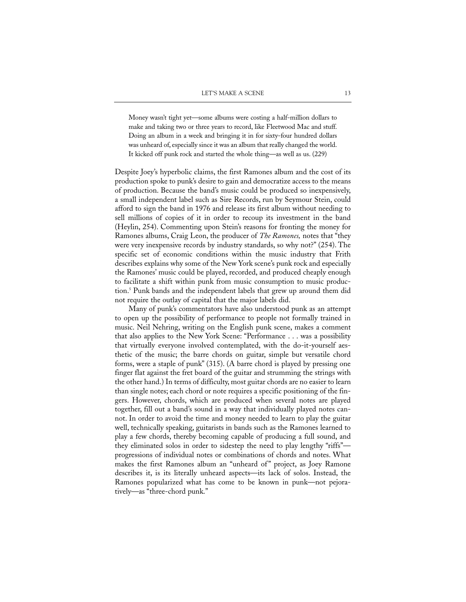Money wasn't tight yet—some albums were costing a half-million dollars to make and taking two or three years to record, like Fleetwood Mac and stuff. Doing an album in a week and bringing it in for sixty-four hundred dollars was unheard of, especially since it was an album that really changed the world. It kicked off punk rock and started the whole thing—as well as us. (229)

Despite Joey's hyperbolic claims, the first Ramones album and the cost of its production spoke to punk's desire to gain and democratize access to the means of production. Because the band's music could be produced so inexpensively, a small independent label such as Sire Records, run by Seymour Stein, could afford to sign the band in 1976 and release its first album without needing to sell millions of copies of it in order to recoup its investment in the band (Heylin, 254). Commenting upon Stein's reasons for fronting the money for Ramones albums, Craig Leon, the producer of *The Ramones,* notes that "they were very inexpensive records by industry standards, so why not?" (254). The specific set of economic conditions within the music industry that Frith describes explains why some of the New York scene's punk rock and especially the Ramones' music could be played, recorded, and produced cheaply enough to facilitate a shift within punk from music consumption to music production.5 Punk bands and the independent labels that grew up around them did not require the outlay of capital that the major labels did.

Many of punk's commentators have also understood punk as an attempt to open up the possibility of performance to people not formally trained in music. Neil Nehring, writing on the English punk scene, makes a comment that also applies to the New York Scene: "Performance . . . was a possibility that virtually everyone involved contemplated, with the do-it-yourself aesthetic of the music; the barre chords on guitar, simple but versatile chord forms, were a staple of punk" (315). (A barre chord is played by pressing one finger flat against the fret board of the guitar and strumming the strings with the other hand.) In terms of difficulty, most guitar chords are no easier to learn than single notes; each chord or note requires a specific positioning of the fingers. However, chords, which are produced when several notes are played together, fill out a band's sound in a way that individually played notes cannot. In order to avoid the time and money needed to learn to play the guitar well, technically speaking, guitarists in bands such as the Ramones learned to play a few chords, thereby becoming capable of producing a full sound, and they eliminated solos in order to sidestep the need to play lengthy "riffs" progressions of individual notes or combinations of chords and notes. What makes the first Ramones album an "unheard of" project, as Joey Ramone describes it, is its literally unheard aspects—its lack of solos. Instead, the Ramones popularized what has come to be known in punk—not pejoratively—as "three-chord punk."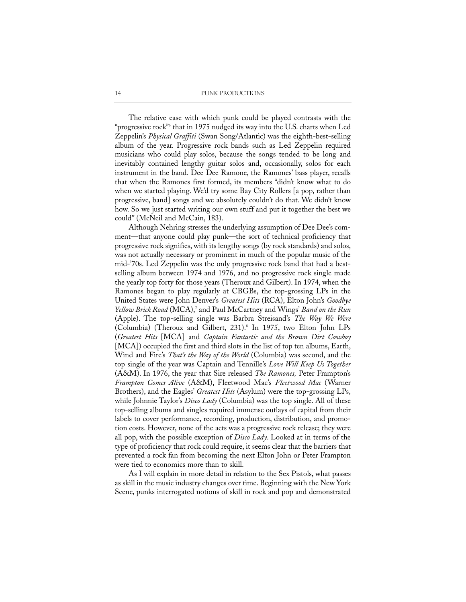The relative ease with which punk could be played contrasts with the "progressive rock"6 that in 1975 nudged its way into the U.S. charts when Led Zeppelin's *Physical Graffiti* (Swan Song/Atlantic) was the eighth-best-selling album of the year. Progressive rock bands such as Led Zeppelin required musicians who could play solos, because the songs tended to be long and inevitably contained lengthy guitar solos and, occasionally, solos for each instrument in the band. Dee Dee Ramone, the Ramones' bass player, recalls that when the Ramones first formed, its members "didn't know what to do when we started playing. We'd try some Bay City Rollers [a pop, rather than progressive, band] songs and we absolutely couldn't do that. We didn't know how. So we just started writing our own stuff and put it together the best we could" (McNeil and McCain, 183).

Although Nehring stresses the underlying assumption of Dee Dee's comment—that anyone could play punk—the sort of technical proficiency that progressive rock signifies, with its lengthy songs (by rock standards) and solos, was not actually necessary or prominent in much of the popular music of the mid-'70s. Led Zeppelin was the only progressive rock band that had a bestselling album between 1974 and 1976, and no progressive rock single made the yearly top forty for those years (Theroux and Gilbert). In 1974, when the Ramones began to play regularly at CBGBs, the top-grossing LPs in the United States were John Denver's *Greatest Hits* (RCA), Elton John's *Goodbye Yellow Brick Road* (MCA),<sup>7</sup> and Paul McCartney and Wings' *Band on the Run* (Apple). The top-selling single was Barbra Streisand's *The Way We Were* (Columbia) (Theroux and Gilbert, 231).<sup>8</sup> In 1975, two Elton John LPs (*Greatest Hits* [MCA] and *Captain Fantastic and the Brown Dirt Cowboy* [MCA]) occupied the first and third slots in the list of top ten albums, Earth, Wind and Fire's *That's the Way of the World* (Columbia) was second, and the top single of the year was Captain and Tennille's *Love Will Keep Us Together* (A&M). In 1976, the year that Sire released *The Ramones,* Peter Frampton's *Frampton Comes Alive* (A&M), Fleetwood Mac's *Fleetwood Mac* (Warner Brothers), and the Eagles' *Greatest Hits* (Asylum) were the top-grossing LPs, while Johnnie Taylor's *Disco Lady* (Columbia) was the top single. All of these top-selling albums and singles required immense outlays of capital from their labels to cover performance, recording, production, distribution, and promotion costs. However, none of the acts was a progressive rock release; they were all pop, with the possible exception of *Disco Lady*. Looked at in terms of the type of proficiency that rock could require, it seems clear that the barriers that prevented a rock fan from becoming the next Elton John or Peter Frampton were tied to economics more than to skill.

As I will explain in more detail in relation to the Sex Pistols, what passes as skill in the music industry changes over time. Beginning with the New York Scene, punks interrogated notions of skill in rock and pop and demonstrated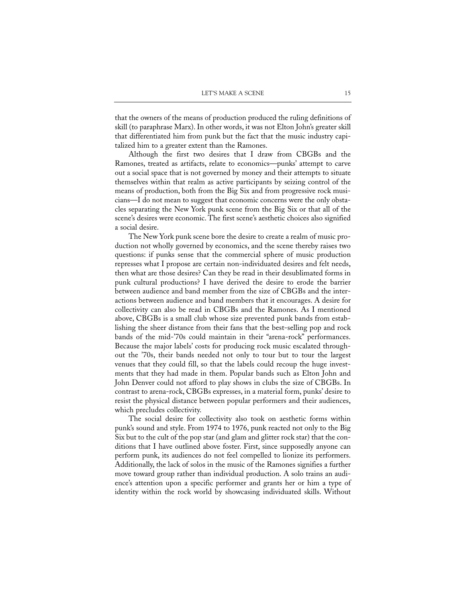that the owners of the means of production produced the ruling definitions of skill (to paraphrase Marx). In other words, it was not Elton John's greater skill that differentiated him from punk but the fact that the music industry capitalized him to a greater extent than the Ramones.

Although the first two desires that I draw from CBGBs and the Ramones, treated as artifacts, relate to economics—punks' attempt to carve out a social space that is not governed by money and their attempts to situate themselves within that realm as active participants by seizing control of the means of production, both from the Big Six and from progressive rock musicians—I do not mean to suggest that economic concerns were the only obstacles separating the New York punk scene from the Big Six or that all of the scene's desires were economic. The first scene's aesthetic choices also signified a social desire.

The New York punk scene bore the desire to create a realm of music production not wholly governed by economics, and the scene thereby raises two questions: if punks sense that the commercial sphere of music production represses what I propose are certain non-individuated desires and felt needs, then what are those desires? Can they be read in their desublimated forms in punk cultural productions? I have derived the desire to erode the barrier between audience and band member from the size of CBGBs and the interactions between audience and band members that it encourages. A desire for collectivity can also be read in CBGBs and the Ramones. As I mentioned above, CBGBs is a small club whose size prevented punk bands from establishing the sheer distance from their fans that the best-selling pop and rock bands of the mid-'70s could maintain in their "arena-rock" performances. Because the major labels' costs for producing rock music escalated throughout the '70s, their bands needed not only to tour but to tour the largest venues that they could fill, so that the labels could recoup the huge investments that they had made in them. Popular bands such as Elton John and John Denver could not afford to play shows in clubs the size of CBGBs. In contrast to arena-rock, CBGBs expresses, in a material form, punks' desire to resist the physical distance between popular performers and their audiences, which precludes collectivity.

The social desire for collectivity also took on aesthetic forms within punk's sound and style. From 1974 to 1976, punk reacted not only to the Big Six but to the cult of the pop star (and glam and glitter rock star) that the conditions that I have outlined above foster. First, since supposedly anyone can perform punk, its audiences do not feel compelled to lionize its performers. Additionally, the lack of solos in the music of the Ramones signifies a further move toward group rather than individual production. A solo trains an audience's attention upon a specific performer and grants her or him a type of identity within the rock world by showcasing individuated skills. Without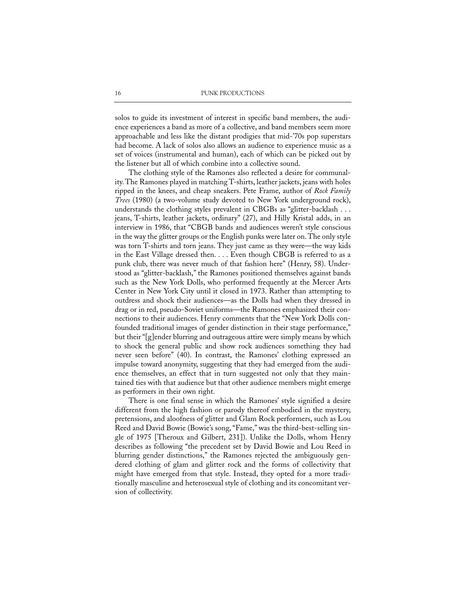solos to guide its investment of interest in specific band members, the audience experiences a band as more of a collective, and band members seem more approachable and less like the distant prodigies that mid-'70s pop superstars had become. A lack of solos also allows an audience to experience music as a set of voices (instrumental and human), each of which can be picked out by the listener but all of which combine into a collective sound.

The clothing style of the Ramones also reflected a desire for communality. The Ramones played in matching T-shirts, leather jackets, jeans with holes ripped in the knees, and cheap sneakers. Pete Frame, author of *Rock Family Trees* (1980) (a two-volume study devoted to New York underground rock), understands the clothing styles prevalent in CBGBs as "glitter-backlash . . . jeans, T-shirts, leather jackets, ordinary" (27), and Hilly Kristal adds, in an interview in 1986, that "CBGB bands and audiences weren't style conscious in the way the glitter groups or the English punks were later on. The only style was torn T-shirts and torn jeans. They just came as they were—the way kids in the East Village dressed then. . . . Even though CBGB is referred to as a punk club, there was never much of that fashion here" (Henry, 58). Understood as "glitter-backlash," the Ramones positioned themselves against bands such as the New York Dolls, who performed frequently at the Mercer Arts Center in New York City until it closed in 1973. Rather than attempting to outdress and shock their audiences—as the Dolls had when they dressed in drag or in red, pseudo-Soviet uniforms—the Ramones emphasized their connections to their audiences. Henry comments that the "New York Dolls confounded traditional images of gender distinction in their stage performance," but their "[g]ender blurring and outrageous attire were simply means by which to shock the general public and show rock audiences something they had never seen before" (40). In contrast, the Ramones' clothing expressed an impulse toward anonymity, suggesting that they had emerged from the audience themselves, an effect that in turn suggested not only that they maintained ties with that audience but that other audience members might emerge as performers in their own right.

There is one final sense in which the Ramones' style signified a desire different from the high fashion or parody thereof embodied in the mystery, pretensions, and aloofness of glitter and Glam Rock performers, such as Lou Reed and David Bowie (Bowie's song, "Fame," was the third-best-selling single of 1975 [Theroux and Gilbert, 231]). Unlike the Dolls, whom Henry describes as following "the precedent set by David Bowie and Lou Reed in blurring gender distinctions," the Ramones rejected the ambiguously gendered clothing of glam and glitter rock and the forms of collectivity that might have emerged from that style. Instead, they opted for a more traditionally masculine and heterosexual style of clothing and its concomitant version of collectivity.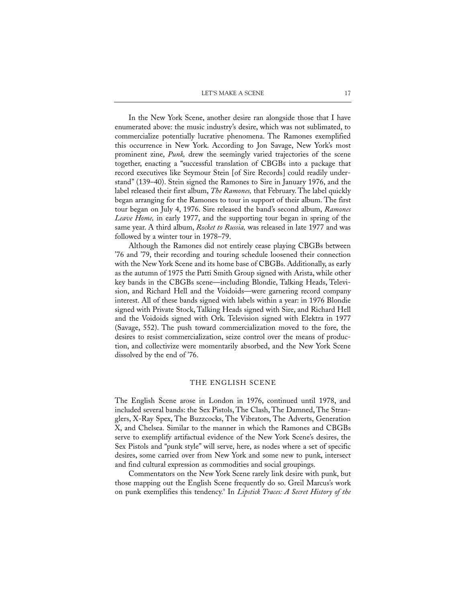In the New York Scene, another desire ran alongside those that I have enumerated above: the music industry's desire, which was not sublimated, to commercialize potentially lucrative phenomena. The Ramones exemplified this occurrence in New York. According to Jon Savage, New York's most prominent zine, *Punk,* drew the seemingly varied trajectories of the scene together, enacting a "successful translation of CBGBs into a package that record executives like Seymour Stein [of Sire Records] could readily understand" (139–40). Stein signed the Ramones to Sire in January 1976, and the label released their first album, *The Ramones,* that February. The label quickly began arranging for the Ramones to tour in support of their album. The first tour began on July 4, 1976. Sire released the band's second album, *Ramones Leave Home,* in early 1977, and the supporting tour began in spring of the same year. A third album, *Rocket to Russia,* was released in late 1977 and was followed by a winter tour in 1978–79.

Although the Ramones did not entirely cease playing CBGBs between '76 and '79, their recording and touring schedule loosened their connection with the New York Scene and its home base of CBGBs. Additionally, as early as the autumn of 1975 the Patti Smith Group signed with Arista, while other key bands in the CBGBs scene—including Blondie, Talking Heads, Television, and Richard Hell and the Voidoids—were garnering record company interest. All of these bands signed with labels within a year: in 1976 Blondie signed with Private Stock, Talking Heads signed with Sire, and Richard Hell and the Voidoids signed with Ork. Television signed with Elektra in 1977 (Savage, 552). The push toward commercialization moved to the fore, the desires to resist commercialization, seize control over the means of production, and collectivize were momentarily absorbed, and the New York Scene dissolved by the end of '76.

## THE ENGLISH SCENE

The English Scene arose in London in 1976, continued until 1978, and included several bands: the Sex Pistols, The Clash, The Damned, The Stranglers, X-Ray Spex, The Buzzcocks, The Vibrators, The Adverts, Generation X, and Chelsea. Similar to the manner in which the Ramones and CBGBs serve to exemplify artifactual evidence of the New York Scene's desires, the Sex Pistols and "punk style" will serve, here, as nodes where a set of specific desires, some carried over from New York and some new to punk, intersect and find cultural expression as commodities and social groupings.

Commentators on the New York Scene rarely link desire with punk, but those mapping out the English Scene frequently do so. Greil Marcus's work on punk exemplifies this tendency.9 In *Lipstick Traces: A Secret History of the*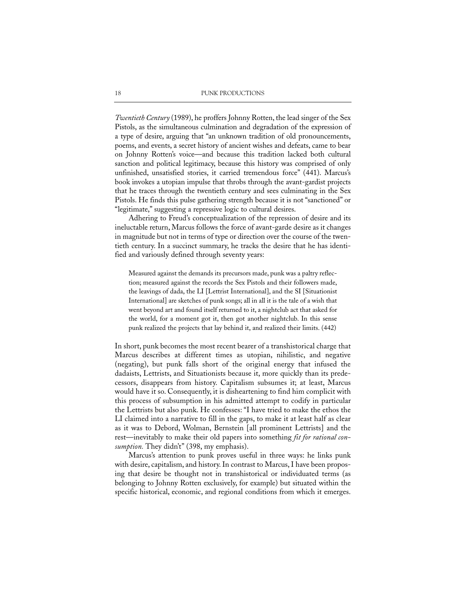*Twentieth Century* (1989), he proffers Johnny Rotten, the lead singer of the Sex Pistols, as the simultaneous culmination and degradation of the expression of a type of desire, arguing that "an unknown tradition of old pronouncements, poems, and events, a secret history of ancient wishes and defeats, came to bear on Johnny Rotten's voice—and because this tradition lacked both cultural sanction and political legitimacy, because this history was comprised of only unfinished, unsatisfied stories, it carried tremendous force" (441). Marcus's book invokes a utopian impulse that throbs through the avant-gardist projects that he traces through the twentieth century and sees culminating in the Sex Pistols. He finds this pulse gathering strength because it is not "sanctioned" or "legitimate," suggesting a repressive logic to cultural desires.

Adhering to Freud's conceptualization of the repression of desire and its ineluctable return, Marcus follows the force of avant-garde desire as it changes in magnitude but not in terms of type or direction over the course of the twentieth century. In a succinct summary, he tracks the desire that he has identified and variously defined through seventy years:

Measured against the demands its precursors made, punk was a paltry reflection; measured against the records the Sex Pistols and their followers made, the leavings of dada, the LI [Lettrist International], and the SI [Situationist International] are sketches of punk songs; all in all it is the tale of a wish that went beyond art and found itself returned to it, a nightclub act that asked for the world, for a moment got it, then got another nightclub. In this sense punk realized the projects that lay behind it, and realized their limits. (442)

In short, punk becomes the most recent bearer of a transhistorical charge that Marcus describes at different times as utopian, nihilistic, and negative (negating), but punk falls short of the original energy that infused the dadaists, Lettrists, and Situationists because it, more quickly than its predecessors, disappears from history. Capitalism subsumes it; at least, Marcus would have it so. Consequently, it is disheartening to find him complicit with this process of subsumption in his admitted attempt to codify in particular the Lettrists but also punk. He confesses: "I have tried to make the ethos the LI claimed into a narrative to fill in the gaps, to make it at least half as clear as it was to Debord, Wolman, Bernstein [all prominent Lettrists] and the rest—inevitably to make their old papers into something *fit for rational consumption.* They didn't" (398, my emphasis).

Marcus's attention to punk proves useful in three ways: he links punk with desire, capitalism, and history. In contrast to Marcus, I have been proposing that desire be thought not in transhistorical or individuated terms (as belonging to Johnny Rotten exclusively, for example) but situated within the specific historical, economic, and regional conditions from which it emerges.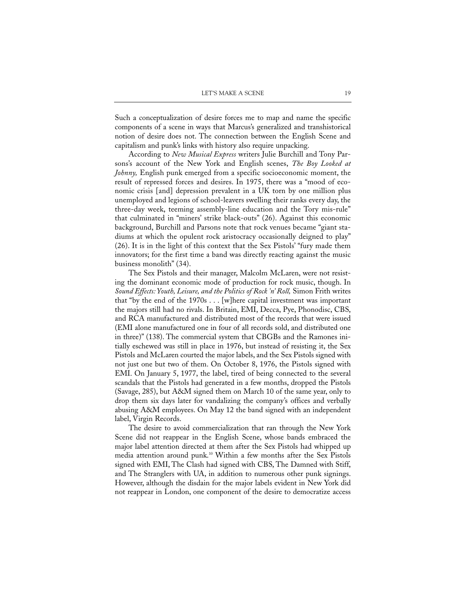Such a conceptualization of desire forces me to map and name the specific components of a scene in ways that Marcus's generalized and transhistorical notion of desire does not. The connection between the English Scene and capitalism and punk's links with history also require unpacking.

According to *New Musical Express* writers Julie Burchill and Tony Parsons's account of the New York and English scenes, *The Boy Looked at Johnny,* English punk emerged from a specific socioeconomic moment, the result of repressed forces and desires. In 1975, there was a "mood of economic crisis [and] depression prevalent in a UK torn by one million plus unemployed and legions of school-leavers swelling their ranks every day, the three-day week, teeming assembly-line education and the Tory mis-rule" that culminated in "miners' strike black-outs" (26). Against this economic background, Burchill and Parsons note that rock venues became "giant stadiums at which the opulent rock aristocracy occasionally deigned to play" (26). It is in the light of this context that the Sex Pistols' "fury made them innovators; for the first time a band was directly reacting against the music business monolith" (34).

The Sex Pistols and their manager, Malcolm McLaren, were not resisting the dominant economic mode of production for rock music, though. In *Sound Effects: Youth, Leisure, and the Politics of Rock 'n' Roll,* Simon Frith writes that "by the end of the  $1970s...$  [w]here capital investment was important the majors still had no rivals. In Britain, EMI, Decca, Pye, Phonodisc, CBS, and RCA manufactured and distributed most of the records that were issued (EMI alone manufactured one in four of all records sold, and distributed one in three)" (138). The commercial system that CBGBs and the Ramones initially eschewed was still in place in 1976, but instead of resisting it, the Sex Pistols and McLaren courted the major labels, and the Sex Pistols signed with not just one but two of them. On October 8, 1976, the Pistols signed with EMI. On January 5, 1977, the label, tired of being connected to the several scandals that the Pistols had generated in a few months, dropped the Pistols (Savage, 285), but A&M signed them on March 10 of the same year, only to drop them six days later for vandalizing the company's offices and verbally abusing A&M employees. On May 12 the band signed with an independent label, Virgin Records.

The desire to avoid commercialization that ran through the New York Scene did not reappear in the English Scene, whose bands embraced the major label attention directed at them after the Sex Pistols had whipped up media attention around punk.10 Within a few months after the Sex Pistols signed with EMI, The Clash had signed with CBS, The Damned with Stiff, and The Stranglers with UA, in addition to numerous other punk signings. However, although the disdain for the major labels evident in New York did not reappear in London, one component of the desire to democratize access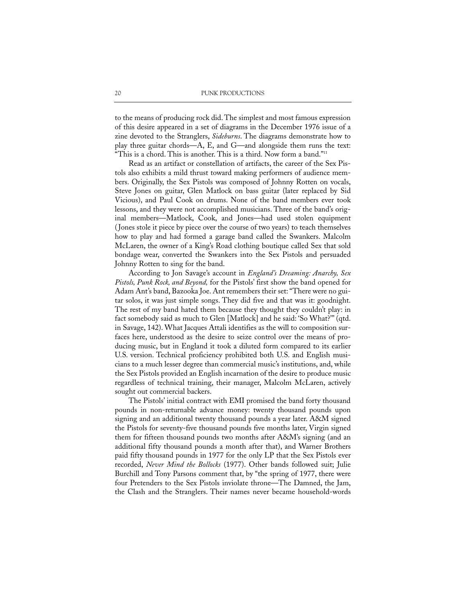to the means of producing rock did. The simplest and most famous expression of this desire appeared in a set of diagrams in the December 1976 issue of a zine devoted to the Stranglers, *Sideburns*. The diagrams demonstrate how to play three guitar chords—A, E, and G—and alongside them runs the text: "This is a chord. This is another. This is a third. Now form a band."11

Read as an artifact or constellation of artifacts, the career of the Sex Pistols also exhibits a mild thrust toward making performers of audience members. Originally, the Sex Pistols was composed of Johnny Rotten on vocals, Steve Jones on guitar, Glen Matlock on bass guitar (later replaced by Sid Vicious), and Paul Cook on drums. None of the band members ever took lessons, and they were not accomplished musicians. Three of the band's original members—Matlock, Cook, and Jones—had used stolen equipment ( Jones stole it piece by piece over the course of two years) to teach themselves how to play and had formed a garage band called the Swankers. Malcolm McLaren, the owner of a King's Road clothing boutique called Sex that sold bondage wear, converted the Swankers into the Sex Pistols and persuaded Johnny Rotten to sing for the band.

According to Jon Savage's account in *England's Dreaming: Anarchy, Sex Pistols, Punk Rock, and Beyond,* for the Pistols' first show the band opened for Adam Ant's band, Bazooka Joe. Ant remembers their set: "There were no guitar solos, it was just simple songs. They did five and that was it: goodnight. The rest of my band hated them because they thought they couldn't play: in fact somebody said as much to Glen [Matlock] and he said: 'So What?'" (qtd. in Savage, 142). What Jacques Attali identifies as the will to composition surfaces here, understood as the desire to seize control over the means of producing music, but in England it took a diluted form compared to its earlier U.S. version. Technical proficiency prohibited both U.S. and English musicians to a much lesser degree than commercial music's institutions, and, while the Sex Pistols provided an English incarnation of the desire to produce music regardless of technical training, their manager, Malcolm McLaren, actively sought out commercial backers.

The Pistols' initial contract with EMI promised the band forty thousand pounds in non-returnable advance money: twenty thousand pounds upon signing and an additional twenty thousand pounds a year later. A&M signed the Pistols for seventy-five thousand pounds five months later, Virgin signed them for fifteen thousand pounds two months after A&M's signing (and an additional fifty thousand pounds a month after that), and Warner Brothers paid fifty thousand pounds in 1977 for the only LP that the Sex Pistols ever recorded, *Never Mind the Bollocks* (1977). Other bands followed suit; Julie Burchill and Tony Parsons comment that, by "the spring of 1977, there were four Pretenders to the Sex Pistols inviolate throne—The Damned, the Jam, the Clash and the Stranglers. Their names never became household-words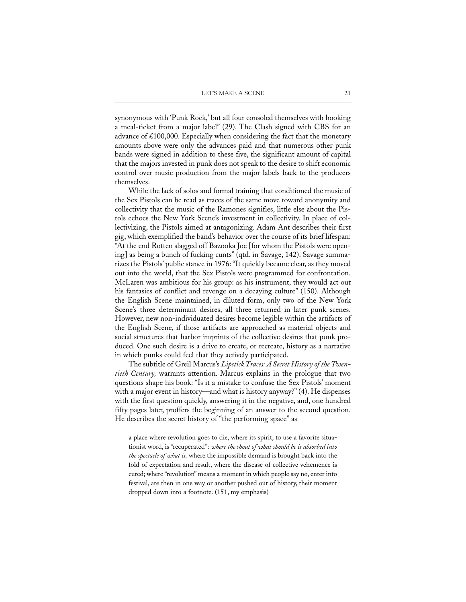synonymous with 'Punk Rock,' but all four consoled themselves with hooking a meal-ticket from a major label" (29). The Clash signed with CBS for an advance of  $\text{\pounds}100,000$ . Especially when considering the fact that the monetary amounts above were only the advances paid and that numerous other punk bands were signed in addition to these five, the significant amount of capital that the majors invested in punk does not speak to the desire to shift economic control over music production from the major labels back to the producers themselves.

While the lack of solos and formal training that conditioned the music of the Sex Pistols can be read as traces of the same move toward anonymity and collectivity that the music of the Ramones signifies, little else about the Pistols echoes the New York Scene's investment in collectivity. In place of collectivizing, the Pistols aimed at antagonizing. Adam Ant describes their first gig, which exemplified the band's behavior over the course of its brief lifespan: "At the end Rotten slagged off Bazooka Joe [for whom the Pistols were opening] as being a bunch of fucking cunts" (qtd. in Savage, 142). Savage summarizes the Pistols' public stance in 1976: "It quickly became clear, as they moved out into the world, that the Sex Pistols were programmed for confrontation. McLaren was ambitious for his group: as his instrument, they would act out his fantasies of conflict and revenge on a decaying culture" (150). Although the English Scene maintained, in diluted form, only two of the New York Scene's three determinant desires, all three returned in later punk scenes. However, new non-individuated desires become legible within the artifacts of the English Scene, if those artifacts are approached as material objects and social structures that harbor imprints of the collective desires that punk produced. One such desire is a drive to create, or recreate, history as a narrative in which punks could feel that they actively participated.

The subtitle of Greil Marcus's *Lipstick Traces: A Secret History of the Twentieth Century,* warrants attention. Marcus explains in the prologue that two questions shape his book: "Is it a mistake to confuse the Sex Pistols' moment with a major event in history—and what is history anyway?" (4). He dispenses with the first question quickly, answering it in the negative, and, one hundred fifty pages later, proffers the beginning of an answer to the second question. He describes the secret history of "the performing space" as

a place where revolution goes to die, where its spirit, to use a favorite situationist word, is "recuperated": *where the shout of what should be is absorbed into the spectacle of what is,* where the impossible demand is brought back into the fold of expectation and result, where the disease of collective vehemence is cured; where "revolution" means a moment in which people say no, enter into festival, are then in one way or another pushed out of history, their moment dropped down into a footnote. (151, my emphasis)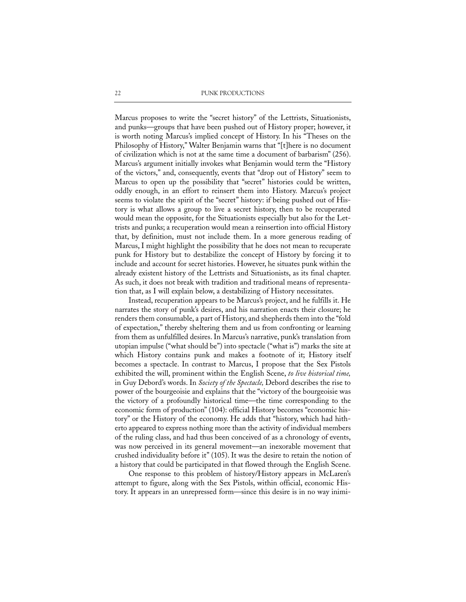Marcus proposes to write the "secret history" of the Lettrists, Situationists, and punks—groups that have been pushed out of History proper; however, it is worth noting Marcus's implied concept of History. In his "Theses on the Philosophy of History," Walter Benjamin warns that "[t]here is no document of civilization which is not at the same time a document of barbarism" (256). Marcus's argument initially invokes what Benjamin would term the "History of the victors," and, consequently, events that "drop out of History" seem to Marcus to open up the possibility that "secret" histories could be written, oddly enough, in an effort to reinsert them into History. Marcus's project seems to violate the spirit of the "secret" history: if being pushed out of History is what allows a group to live a secret history, then to be recuperated would mean the opposite, for the Situationists especially but also for the Lettrists and punks; a recuperation would mean a reinsertion into official History that, by definition, must not include them. In a more generous reading of Marcus, I might highlight the possibility that he does not mean to recuperate punk for History but to destabilize the concept of History by forcing it to include and account for secret histories. However, he situates punk within the already existent history of the Lettrists and Situationists, as its final chapter. As such, it does not break with tradition and traditional means of representation that, as I will explain below, a destabilizing of History necessitates.

Instead, recuperation appears to be Marcus's project, and he fulfills it. He narrates the story of punk's desires, and his narration enacts their closure; he renders them consumable, a part of History, and shepherds them into the "fold of expectation," thereby sheltering them and us from confronting or learning from them as unfulfilled desires. In Marcus's narrative, punk's translation from utopian impulse ("what should be") into spectacle ("what is") marks the site at which History contains punk and makes a footnote of it; History itself becomes a spectacle. In contrast to Marcus, I propose that the Sex Pistols exhibited the will, prominent within the English Scene, *to live historical time,* in Guy Debord's words. In *Society of the Spectacle,* Debord describes the rise to power of the bourgeoisie and explains that the "victory of the bourgeoisie was the victory of a profoundly historical time—the time corresponding to the economic form of production" (104): official History becomes "economic history" or the History of the economy. He adds that "history, which had hitherto appeared to express nothing more than the activity of individual members of the ruling class, and had thus been conceived of as a chronology of events, was now perceived in its general movement—an inexorable movement that crushed individuality before it" (105). It was the desire to retain the notion of a history that could be participated in that flowed through the English Scene.

One response to this problem of history/History appears in McLaren's attempt to figure, along with the Sex Pistols, within official, economic History. It appears in an unrepressed form—since this desire is in no way inimi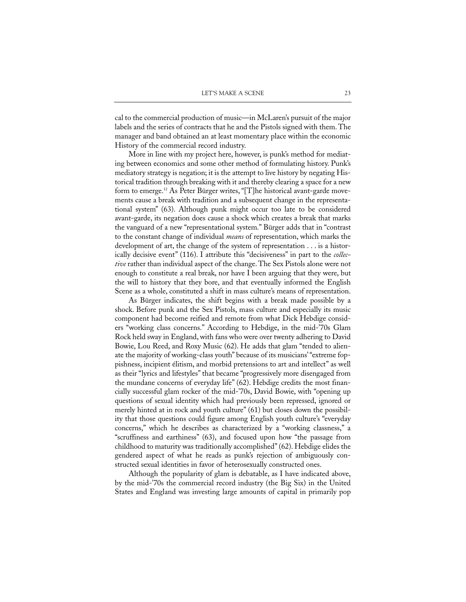cal to the commercial production of music—in McLaren's pursuit of the major labels and the series of contracts that he and the Pistols signed with them. The manager and band obtained an at least momentary place within the economic History of the commercial record industry.

More in line with my project here, however, is punk's method for mediating between economics and some other method of formulating history. Punk's mediatory strategy is negation; it is the attempt to live history by negating Historical tradition through breaking with it and thereby clearing a space for a new form to emerge.12 As Peter Bürger writes, "[T]he historical avant-garde movements cause a break with tradition and a subsequent change in the representational system" (63). Although punk might occur too late to be considered avant-garde, its negation does cause a shock which creates a break that marks the vanguard of a new "representational system." Bürger adds that in "contrast to the constant change of individual *means* of representation, which marks the development of art, the change of the system of representation . . . is a historically decisive event" (116). I attribute this "decisiveness" in part to the *collective* rather than individual aspect of the change. The Sex Pistols alone were not enough to constitute a real break, nor have I been arguing that they were, but the will to history that they bore, and that eventually informed the English Scene as a whole, constituted a shift in mass culture's means of representation.

As Bürger indicates, the shift begins with a break made possible by a shock. Before punk and the Sex Pistols, mass culture and especially its music component had become reified and remote from what Dick Hebdige considers "working class concerns." According to Hebdige, in the mid-'70s Glam Rock held sway in England, with fans who were over twenty adhering to David Bowie, Lou Reed, and Roxy Music (62). He adds that glam "tended to alienate the majority of working-class youth" because of its musicians' "extreme foppishness, incipient élitism, and morbid pretensions to art and intellect" as well as their "lyrics and lifestyles" that became "progressively more disengaged from the mundane concerns of everyday life" (62). Hebdige credits the most financially successful glam rocker of the mid-'70s, David Bowie, with "opening up questions of sexual identity which had previously been repressed, ignored or merely hinted at in rock and youth culture" (61) but closes down the possibility that those questions could figure among English youth culture's "everyday concerns," which he describes as characterized by a "working classness," a "scruffiness and earthiness" (63), and focused upon how "the passage from childhood to maturity was traditionally accomplished" (62). Hebdige elides the gendered aspect of what he reads as punk's rejection of ambiguously constructed sexual identities in favor of heterosexually constructed ones.

Although the popularity of glam is debatable, as I have indicated above, by the mid-'70s the commercial record industry (the Big Six) in the United States and England was investing large amounts of capital in primarily pop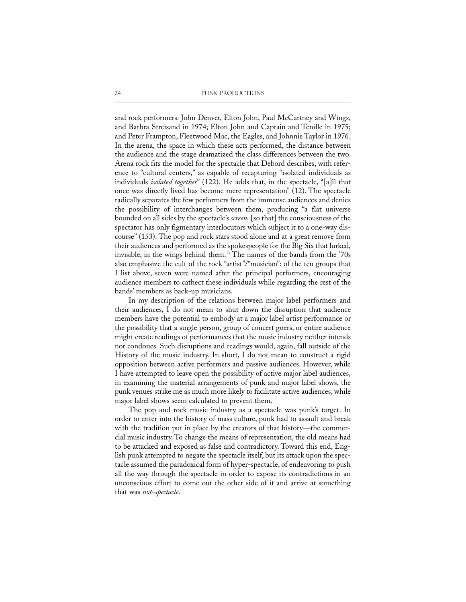and rock performers: John Denver, Elton John, Paul McCartney and Wings, and Barbra Streisand in 1974; Elton John and Captain and Tenille in 1975; and Peter Frampton, Fleetwood Mac, the Eagles, and Johnnie Taylor in 1976. In the arena, the space in which these acts performed, the distance between the audience and the stage dramatized the class differences between the two. Arena rock fits the model for the spectacle that Debord describes, with reference to "cultural centers," as capable of recapturing "isolated individuals as individuals *isolated together*" (122). He adds that, in the spectacle, "[a]ll that once was directly lived has become mere representation" (12). The spectacle radically separates the few performers from the immense audiences and denies the possibility of interchanges between them, producing "a flat universe bounded on all sides by the spectacle's *screen,* [so that] the consciousness of the spectator has only figmentary interlocutors which subject it to a one-way discourse" (153). The pop and rock stars stood alone and at a great remove from their audiences and performed as the spokespeople for the Big Six that lurked, invisible, in the wings behind them.13 The names of the bands from the '70s also emphasize the cult of the rock "artist"/"musician": of the ten groups that I list above, seven were named after the principal performers, encouraging audience members to cathect these individuals while regarding the rest of the bands' members as back-up musicians.

In my description of the relations between major label performers and their audiences, I do not mean to shut down the disruption that audience members have the potential to embody at a major label artist performance or the possibility that a single person, group of concert goers, or entire audience might create readings of performances that the music industry neither intends nor condones. Such disruptions and readings would, again, fall outside of the History of the music industry. In short, I do not mean to construct a rigid opposition between active performers and passive audiences. However, while I have attempted to leave open the possibility of active major label audiences, in examining the material arrangements of punk and major label shows, the punk venues strike me as much more likely to facilitate active audiences, while major label shows seem calculated to prevent them.

The pop and rock music industry as a spectacle was punk's target. In order to enter into the history of mass culture, punk had to assault and break with the tradition put in place by the creators of that history—the commercial music industry. To change the means of representation, the old means had to be attacked and exposed as false and contradictory. Toward this end, English punk attempted to negate the spectacle itself, but its attack upon the spectacle assumed the paradoxical form of hyper-spectacle, of endeavoring to push all the way through the spectacle in order to expose its contradictions in an unconscious effort to come out the other side of it and arrive at something that was *not-spectacle*.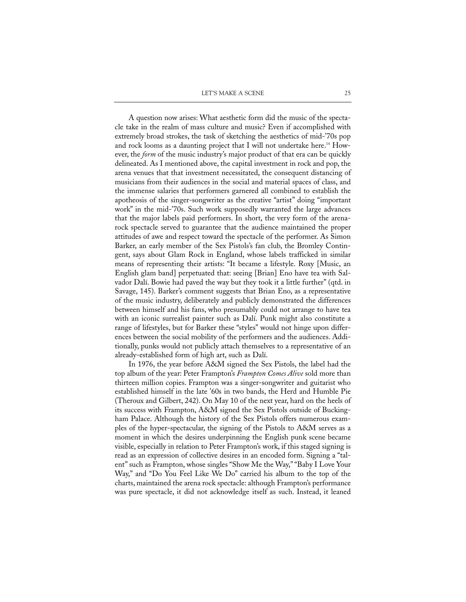A question now arises: What aesthetic form did the music of the spectacle take in the realm of mass culture and music? Even if accomplished with extremely broad strokes, the task of sketching the aesthetics of mid-'70s pop and rock looms as a daunting project that I will not undertake here.<sup>14</sup> However, the *form* of the music industry's major product of that era can be quickly delineated. As I mentioned above, the capital investment in rock and pop, the arena venues that that investment necessitated, the consequent distancing of musicians from their audiences in the social and material spaces of class, and the immense salaries that performers garnered all combined to establish the apotheosis of the singer-songwriter as the creative "artist" doing "important work" in the mid-'70s. Such work supposedly warranted the large advances that the major labels paid performers. In short, the very form of the arenarock spectacle served to guarantee that the audience maintained the proper attitudes of awe and respect toward the spectacle of the performer. As Simon Barker, an early member of the Sex Pistols's fan club, the Bromley Contingent, says about Glam Rock in England, whose labels trafficked in similar means of representing their artists: "It became a lifestyle. Roxy [Music, an English glam band] perpetuated that: seeing [Brian] Eno have tea with Salvador Dalí. Bowie had paved the way but they took it a little further" (qtd. in Savage, 145). Barker's comment suggests that Brian Eno, as a representative of the music industry, deliberately and publicly demonstrated the differences between himself and his fans, who presumably could not arrange to have tea with an iconic surrealist painter such as Dalí. Punk might also constitute a range of lifestyles, but for Barker these "styles" would not hinge upon differences between the social mobility of the performers and the audiences. Additionally, punks would not publicly attach themselves to a representative of an already-established form of high art, such as Dalí.

In 1976, the year before A&M signed the Sex Pistols, the label had the top album of the year: Peter Frampton's *Frampton Comes Alive* sold more than thirteen million copies. Frampton was a singer-songwriter and guitarist who established himself in the late '60s in two bands, the Herd and Humble Pie (Theroux and Gilbert, 242). On May 10 of the next year, hard on the heels of its success with Frampton, A&M signed the Sex Pistols outside of Buckingham Palace. Although the history of the Sex Pistols offers numerous examples of the hyper-spectacular, the signing of the Pistols to A&M serves as a moment in which the desires underpinning the English punk scene became visible, especially in relation to Peter Frampton's work, if this staged signing is read as an expression of collective desires in an encoded form. Signing a "talent" such as Frampton, whose singles "Show Me the Way," "Baby I Love Your Way," and "Do You Feel Like We Do" carried his album to the top of the charts, maintained the arena rock spectacle: although Frampton's performance was pure spectacle, it did not acknowledge itself as such. Instead, it leaned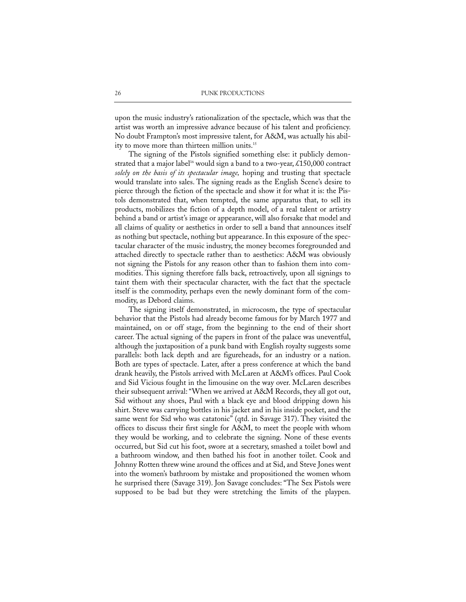upon the music industry's rationalization of the spectacle, which was that the artist was worth an impressive advance because of his talent and proficiency. No doubt Frampton's most impressive talent, for A&M, was actually his ability to move more than thirteen million units.15

The signing of the Pistols signified something else: it publicly demonstrated that a major label<sup>16</sup> would sign a band to a two-year, £150,000 contract *solely on the basis of its spectacular image,* hoping and trusting that spectacle would translate into sales. The signing reads as the English Scene's desire to pierce through the fiction of the spectacle and show it for what it is: the Pistols demonstrated that, when tempted, the same apparatus that, to sell its products, mobilizes the fiction of a depth model, of a real talent or artistry behind a band or artist's image or appearance, will also forsake that model and all claims of quality or aesthetics in order to sell a band that announces itself as nothing but spectacle, nothing but appearance. In this exposure of the spectacular character of the music industry, the money becomes foregrounded and attached directly to spectacle rather than to aesthetics: A&M was obviously not signing the Pistols for any reason other than to fashion them into commodities. This signing therefore falls back, retroactively, upon all signings to taint them with their spectacular character, with the fact that the spectacle itself is the commodity, perhaps even the newly dominant form of the commodity, as Debord claims.

The signing itself demonstrated, in microcosm, the type of spectacular behavior that the Pistols had already become famous for by March 1977 and maintained, on or off stage, from the beginning to the end of their short career. The actual signing of the papers in front of the palace was uneventful, although the juxtaposition of a punk band with English royalty suggests some parallels: both lack depth and are figureheads, for an industry or a nation. Both are types of spectacle. Later, after a press conference at which the band drank heavily, the Pistols arrived with McLaren at A&M's offices. Paul Cook and Sid Vicious fought in the limousine on the way over. McLaren describes their subsequent arrival: "When we arrived at A&M Records, they all got out, Sid without any shoes, Paul with a black eye and blood dripping down his shirt. Steve was carrying bottles in his jacket and in his inside pocket, and the same went for Sid who was catatonic" (qtd. in Savage 317). They visited the offices to discuss their first single for A&M, to meet the people with whom they would be working, and to celebrate the signing. None of these events occurred, but Sid cut his foot, swore at a secretary, smashed a toilet bowl and a bathroom window, and then bathed his foot in another toilet. Cook and Johnny Rotten threw wine around the offices and at Sid, and Steve Jones went into the women's bathroom by mistake and propositioned the women whom he surprised there (Savage 319). Jon Savage concludes: "The Sex Pistols were supposed to be bad but they were stretching the limits of the playpen.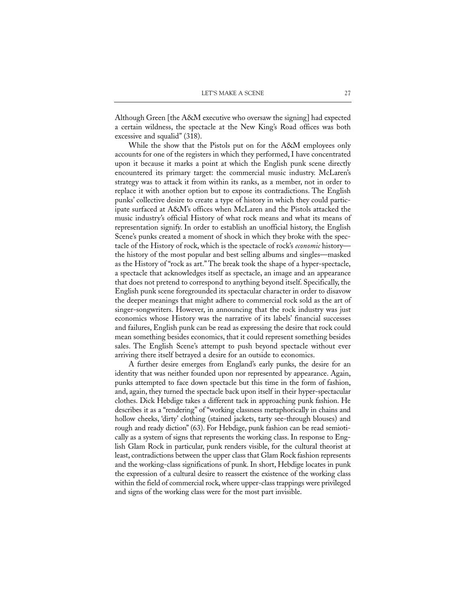Although Green [the A&M executive who oversaw the signing] had expected a certain wildness, the spectacle at the New King's Road offices was both excessive and squalid" (318).

While the show that the Pistols put on for the A&M employees only accounts for one of the registers in which they performed, I have concentrated upon it because it marks a point at which the English punk scene directly encountered its primary target: the commercial music industry. McLaren's strategy was to attack it from within its ranks, as a member, not in order to replace it with another option but to expose its contradictions. The English punks' collective desire to create a type of history in which they could participate surfaced at A&M's offices when McLaren and the Pistols attacked the music industry's official History of what rock means and what its means of representation signify. In order to establish an unofficial history, the English Scene's punks created a moment of shock in which they broke with the spectacle of the History of rock, which is the spectacle of rock's *economic* history the history of the most popular and best selling albums and singles—masked as the History of "rock as art." The break took the shape of a hyper-spectacle, a spectacle that acknowledges itself as spectacle, an image and an appearance that does not pretend to correspond to anything beyond itself. Specifically, the English punk scene foregrounded its spectacular character in order to disavow the deeper meanings that might adhere to commercial rock sold as the art of singer-songwriters. However, in announcing that the rock industry was just economics whose History was the narrative of its labels' financial successes and failures, English punk can be read as expressing the desire that rock could mean something besides economics, that it could represent something besides sales. The English Scene's attempt to push beyond spectacle without ever arriving there itself betrayed a desire for an outside to economics.

A further desire emerges from England's early punks, the desire for an identity that was neither founded upon nor represented by appearance. Again, punks attempted to face down spectacle but this time in the form of fashion, and, again, they turned the spectacle back upon itself in their hyper-spectacular clothes. Dick Hebdige takes a different tack in approaching punk fashion. He describes it as a "rendering" of "working classness metaphorically in chains and hollow cheeks, 'dirty' clothing (stained jackets, tarty see-through blouses) and rough and ready diction" (63). For Hebdige, punk fashion can be read semiotically as a system of signs that represents the working class. In response to English Glam Rock in particular, punk renders visible, for the cultural theorist at least, contradictions between the upper class that Glam Rock fashion represents and the working-class significations of punk. In short, Hebdige locates in punk the expression of a cultural desire to reassert the existence of the working class within the field of commercial rock, where upper-class trappings were privileged and signs of the working class were for the most part invisible.